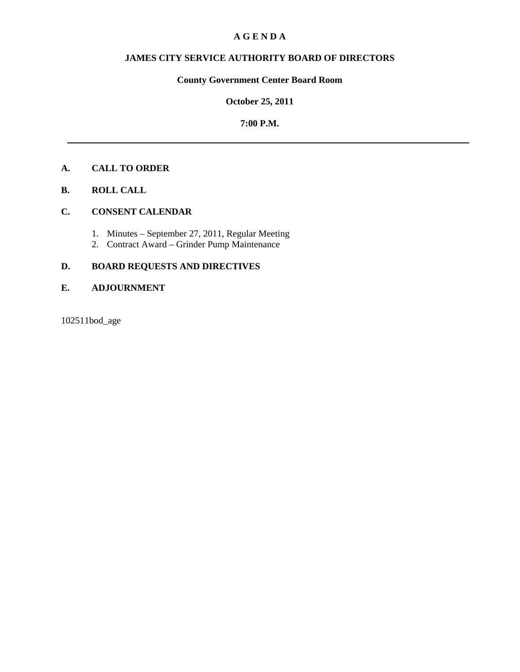## **A G E N D A**

# **JAMES CITY SERVICE AUTHORITY BOARD OF DIRECTORS**

# **County Government Center Board Room**

## **October 25, 2011**

## **7:00 P.M.**

# **A. CALL TO ORDER**

**B. ROLL CALL** 

## **C. CONSENT CALENDAR**

- 1. Minutes September 27, 2011, Regular Meeting
- 2. Contract Award Grinder Pump Maintenance

# **D. BOARD REQUESTS AND DIRECTIVES**

## **E. ADJOURNMENT**

102511bod\_age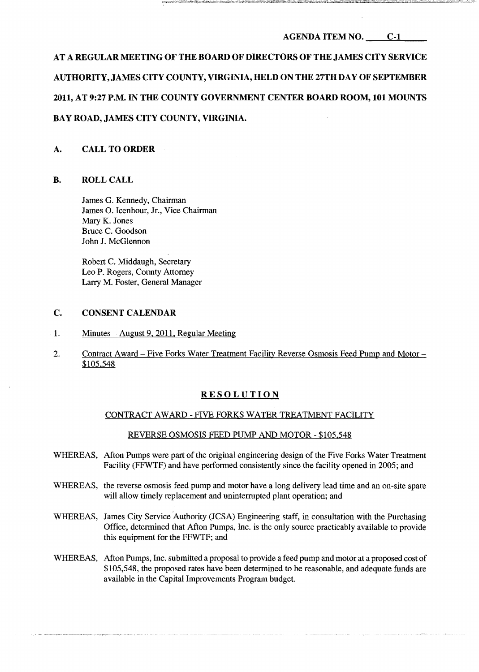# AT A REGULAR MEETING OF THE BOARD OF DIRECTORS OF THE JAMES CITY SERVICE AUTHORITY,JAMES CITY COUNTY, VIRGINIA,HELD ON THE 27TH DAY OF SEPTEMBER 2011, AT 9:27 P.M. IN THE COUNTY GOVERNMENT CENTER BOARD ROOM, 101 MOUNTS BAY ROAD, JAMES CITY COUNTY, VIRGINIA.

## A. CALL TO ORDER

## **B.** ROLL CALL

James G. Kennedy, Chairman James O. Icenhour, Jr., Vice Chairman Mary K. Jones Bruce C. Goodson John J. McGlennon

Robert C. Middaugh, Secretary Leo P. Rogers, County Attorney Larry M. Foster, General Manager

## C. CONSENT CALENDAR

- 1. Minutes August 9, 2011, Regular Meeting
- 2. Contract Award Five Forks Water Treatment Facility Reverse Osmosis Feed Pump and Motor \$105.548

## RESOLUTION

## CONTRACT AWARD - FIVE FORKS WATER TREATMENT FACILITY

### REVERSE OSMOSIS FEED PUMP AND MOTOR - \$105,548

- WHEREAS. Afton Pumps were part of the original engineering design of the Five Forks Water Treatment Facility (FFWTF) and have performed consistently since the facility opened in 2005; and
- WHEREAS, the reverse osmosis feed pump and motor have a long delivery lead time and an on-site spare will allow timely replacement and uninterrupted plant operation; and
- WHEREAS, James City Service Authority (JCSA) Engineering staff, in consultation with the Purchasing Office, determined that Afton Pumps, Inc. is the only source practicably available to provide this equipment for the FFWTF; and
- WHEREAS, Afton Pumps, Inc. submitted a proposal to provide a feed pump and motor at a proposed cost of \$105,548, the proposed rates have been determined to be reasonable, and adequate funds are available in the Capital Improvements Program budget.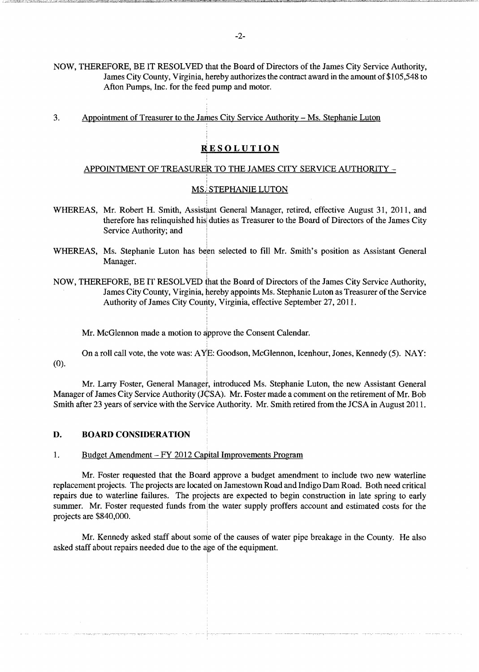NOW, THEREFORE, BE IT RESOLVED that the Board of Directors of the James City Service Authority, James City County, Virginia, hereby authorizes the contract award in the amount of\$105,548 to Afton Pumps, Inc. for the feed pump and motor.

3. Appointment of Treasurer to the James City Service Authority - Ms. Stephanie Luton

!

, į,

, , ,

## **RESOLUTION**

## APPOINTMENT OF TREASURER TO THE JAMES CITY SERVICE AUTHORITY ,

## MS.! STEPHANIE LUTON

- WHEREAS, Mr. Robert H. Smith, Assistant General Manager, retired, effective August 31, 2011, and therefore has relinquished his duties as Treasurer to the Board of Directors of the James City Service Authority; and
- WHEREAS, Ms. Stephanie Luton has been selected to fill Mr. Smith's position as Assistant General Manager.
- NOW, THEREFORE, BE IT RESOLVED that the Board of Directors of the James City Service Authority, James City County, Virginia, hereby appoints Ms. Stephanie Luton as Treasurer of the Service Authority of James City County, Virginia, effective September 27, 2011. I

Mr. McGlennon made a motion to approve the Consent Calendar.

,

I

I ,

On a roll call vote, the vote was: A YjE: Goodson, McGlennon, Icenhour, Jones, Kennedy (5). NAY:  $(0).$ 

Mr. Larry Foster, General Manager, introduced Ms. Stephanie Luton, the new Assistant General Manager of James City Service Authority (JCSA). Mr. Foster made a comment on the retirement of Mr. Bob Smith after 23 years of service with the Service Authority. Mr. Smith retired from the JCSA in August 2011.

#### **D. BOARD CONSIDERATION**

## 1. Budget Amendment - FY 2012 Capital Improvements Program

Mr. Foster requested that the Board approve a budget amendment to include two new waterline replacement projects. The projects are located on Jamestown Road and Indigo Dam Road. Both need critical repairs due to waterline failures. The projects are expected to begin construction in late spring to early summer. Mr. Foster requested funds from the water supply proffers account and estimated costs for the projects are \$840,000. .

Mr. Kennedy asked staff about some of the causes of water pipe breakage in the County. He also asked staff about repairs needed due to the age of the equipment.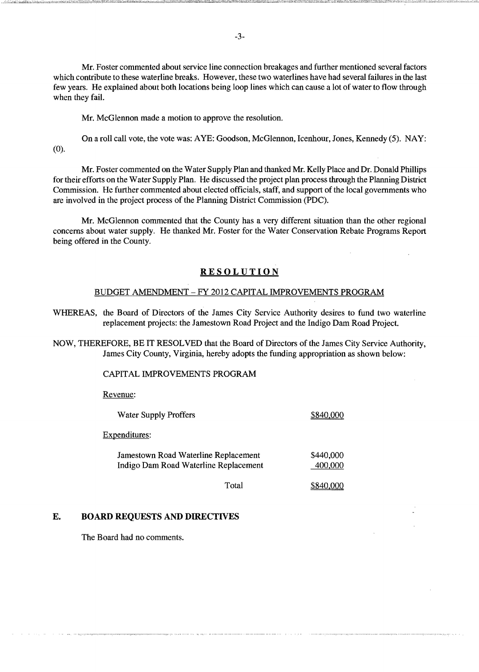Mr. Foster commented about service line connection breakages and further mentioned several factors which contribute to these waterline breaks. However, these two waterlines have had several failures in the last few years. He explained about both locations being loop lines which can cause a lot of water to flow through when they fail.

Mr. McGlennon made a motion to approve the resolution.

On a roll call vote, the vote was: AYE: Goodson, McGlennon, Icenhour, Jones, Kennedy (5). NAY: (0).

Mr. Foster commented on the Water Supply Plan and thanked Mr. Kelly Place and Dr. Donald Phillips for their efforts on the Water Supply Plan. He discussed the project plan process through the Planning District Commission. He further commented about elected officials, staff, and support of the local governments who are involved in the project process of the Planning District Commission (PDC).

Mr. McGlennon commented that the County has a very different situation than the other regional concerns about water supply. He thanked Mr. Foster for the Water Conservation Rebate Programs Report being offered in the County.

## **RESOLUTION**

## BUDGET AMENDMENT - FY 2012 CAPITAL IMPROVEMENTS PROGRAM

WHEREAS, the Board of Directors of the James City Service Authority desires to fund two waterline replacement projects: the Jamestown Road Project and the Indigo Dam Road Project.

NOW, THEREFORE, BE IT RESOLVED that the Board of Directors of the James City Service Authority, James City County, Virginia, hereby adopts the funding appropriation as shown below:

#### CAPITAL IMPROVEMENTS PROGRAM

Revenue:

| <b>Water Supply Proffers</b>                                                  |       | \$840,000            |
|-------------------------------------------------------------------------------|-------|----------------------|
| Expenditures:                                                                 |       |                      |
| Jamestown Road Waterline Replacement<br>Indigo Dam Road Waterline Replacement |       | \$440,000<br>400,000 |
|                                                                               | Total |                      |

## E. BOARD REQUESTS AND DIRECTIVES

The Board had no comments.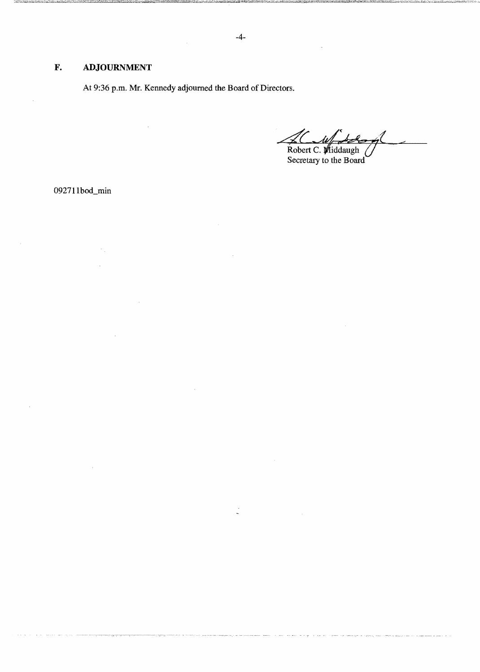# **F. ADJOURNMENT**

At 9:36 p.m. Mr. Kennedy adjourned the Board of Directors.

 $201$  $\mathcal{A}$ Robert C. Viiddaugh

092711bod\_min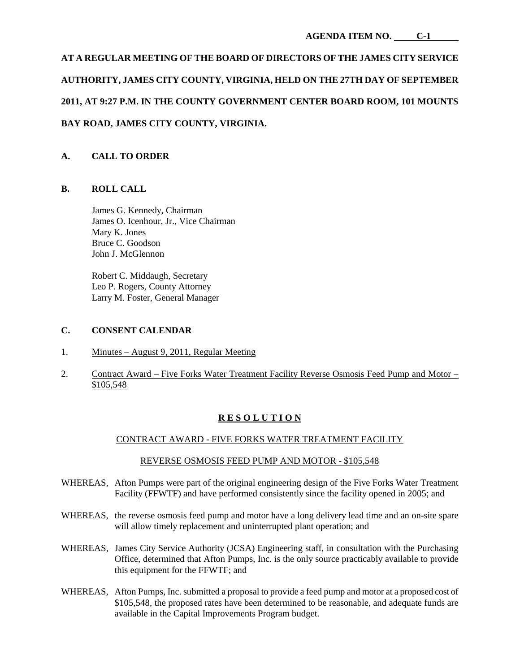# **AT A REGULAR MEETING OF THE BOARD OF DIRECTORS OF THE JAMES CITY SERVICE AUTHORITY, JAMES CITY COUNTY, VIRGINIA, HELD ON THE 27TH DAY OF SEPTEMBER 2011, AT 9:27 P.M. IN THE COUNTY GOVERNMENT CENTER BOARD ROOM, 101 MOUNTS BAY ROAD, JAMES CITY COUNTY, VIRGINIA.**

# **A. CALL TO ORDER**

## **B. ROLL CALL**

James G. Kennedy, Chairman James O. Icenhour, Jr., Vice Chairman Mary K. Jones Bruce C. Goodson John J. McGlennon

Robert C. Middaugh, Secretary Leo P. Rogers, County Attorney Larry M. Foster, General Manager

## **C. CONSENT CALENDAR**

- 1. Minutes August 9, 2011, Regular Meeting
- 2. Contract Award Five Forks Water Treatment Facility Reverse Osmosis Feed Pump and Motor \$105,548

# **R E S O L U T I O N**

## CONTRACT AWARD - FIVE FORKS WATER TREATMENT FACILITY

## REVERSE OSMOSIS FEED PUMP AND MOTOR - \$105,548

- WHEREAS, Afton Pumps were part of the original engineering design of the Five Forks Water Treatment Facility (FFWTF) and have performed consistently since the facility opened in 2005; and
- WHEREAS, the reverse osmosis feed pump and motor have a long delivery lead time and an on-site spare will allow timely replacement and uninterrupted plant operation; and
- WHEREAS, James City Service Authority (JCSA) Engineering staff, in consultation with the Purchasing Office, determined that Afton Pumps, Inc. is the only source practicably available to provide this equipment for the FFWTF; and
- WHEREAS, Afton Pumps, Inc. submitted a proposal to provide a feed pump and motor at a proposed cost of \$105,548, the proposed rates have been determined to be reasonable, and adequate funds are available in the Capital Improvements Program budget.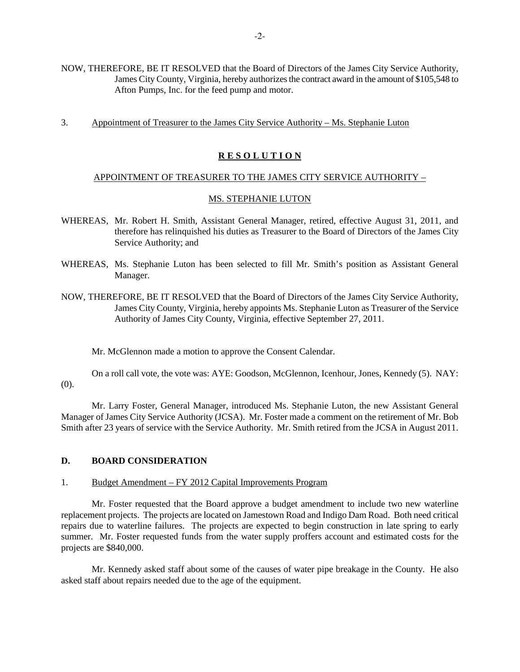- NOW, THEREFORE, BE IT RESOLVED that the Board of Directors of the James City Service Authority, James City County, Virginia, hereby authorizes the contract award in the amount of \$105,548 to Afton Pumps, Inc. for the feed pump and motor.
- 3. Appointment of Treasurer to the James City Service Authority Ms. Stephanie Luton

## **R E S O L U T I O N**

## APPOINTMENT OF TREASURER TO THE JAMES CITY SERVICE AUTHORITY –

## MS. STEPHANIE LUTON

- WHEREAS, Mr. Robert H. Smith, Assistant General Manager, retired, effective August 31, 2011, and therefore has relinquished his duties as Treasurer to the Board of Directors of the James City Service Authority; and
- WHEREAS, Ms. Stephanie Luton has been selected to fill Mr. Smith's position as Assistant General Manager.
- NOW, THEREFORE, BE IT RESOLVED that the Board of Directors of the James City Service Authority, James City County, Virginia, hereby appoints Ms. Stephanie Luton as Treasurer of the Service Authority of James City County, Virginia, effective September 27, 2011.

Mr. McGlennon made a motion to approve the Consent Calendar.

On a roll call vote, the vote was: AYE: Goodson, McGlennon, Icenhour, Jones, Kennedy (5). NAY: (0).

Mr. Larry Foster, General Manager, introduced Ms. Stephanie Luton, the new Assistant General Manager of James City Service Authority (JCSA). Mr. Foster made a comment on the retirement of Mr. Bob Smith after 23 years of service with the Service Authority. Mr. Smith retired from the JCSA in August 2011.

## **D. BOARD CONSIDERATION**

## 1. Budget Amendment – FY 2012 Capital Improvements Program

Mr. Foster requested that the Board approve a budget amendment to include two new waterline replacement projects. The projects are located on Jamestown Road and Indigo Dam Road. Both need critical repairs due to waterline failures. The projects are expected to begin construction in late spring to early summer. Mr. Foster requested funds from the water supply proffers account and estimated costs for the projects are \$840,000.

Mr. Kennedy asked staff about some of the causes of water pipe breakage in the County. He also asked staff about repairs needed due to the age of the equipment.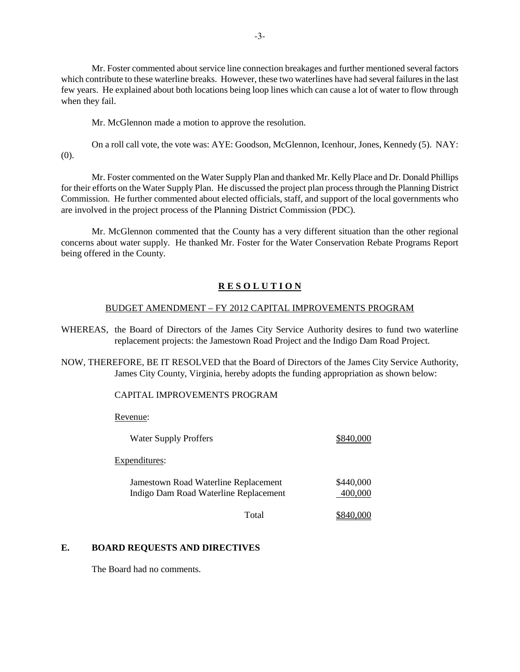Mr. Foster commented about service line connection breakages and further mentioned several factors which contribute to these waterline breaks. However, these two waterlines have had several failures in the last few years. He explained about both locations being loop lines which can cause a lot of water to flow through when they fail.

Mr. McGlennon made a motion to approve the resolution.

On a roll call vote, the vote was: AYE: Goodson, McGlennon, Icenhour, Jones, Kennedy (5). NAY: (0).

Mr. Foster commented on the Water Supply Plan and thanked Mr. Kelly Place and Dr. Donald Phillips for their efforts on the Water Supply Plan. He discussed the project plan process through the Planning District Commission. He further commented about elected officials, staff, and support of the local governments who are involved in the project process of the Planning District Commission (PDC).

Mr. McGlennon commented that the County has a very different situation than the other regional concerns about water supply. He thanked Mr. Foster for the Water Conservation Rebate Programs Report being offered in the County.

# **R E S O L U T I O N**

## BUDGET AMENDMENT – FY 2012 CAPITAL IMPROVEMENTS PROGRAM

WHEREAS, the Board of Directors of the James City Service Authority desires to fund two waterline replacement projects: the Jamestown Road Project and the Indigo Dam Road Project.

NOW, THEREFORE, BE IT RESOLVED that the Board of Directors of the James City Service Authority, James City County, Virginia, hereby adopts the funding appropriation as shown below:

# CAPITAL IMPROVEMENTS PROGRAM

Revenue:

| <b>Water Supply Proffers</b>                                                  |                      |
|-------------------------------------------------------------------------------|----------------------|
| Expenditures:                                                                 |                      |
| Jamestown Road Waterline Replacement<br>Indigo Dam Road Waterline Replacement | \$440,000<br>400,000 |
| Total                                                                         |                      |

# **E. BOARD REQUESTS AND DIRECTIVES**

The Board had no comments.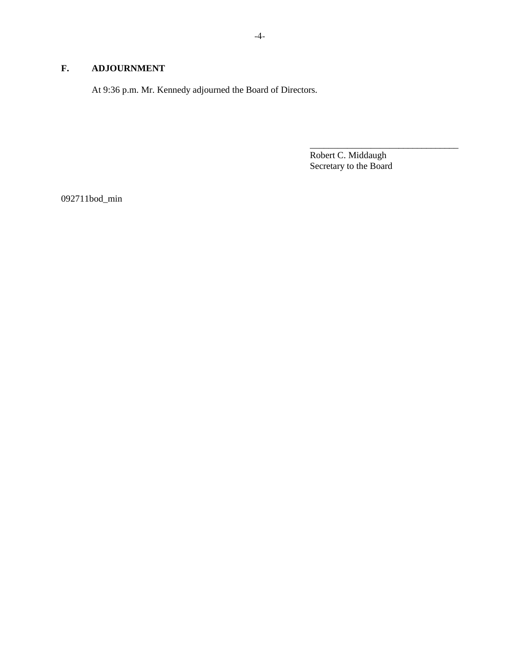# **F. ADJOURNMENT**

At 9:36 p.m. Mr. Kennedy adjourned the Board of Directors.

Robert C. Middaugh Secretary to the Board

\_\_\_\_\_\_\_\_\_\_\_\_\_\_\_\_\_\_\_\_\_\_\_\_\_\_\_\_\_\_\_\_

092711bod\_min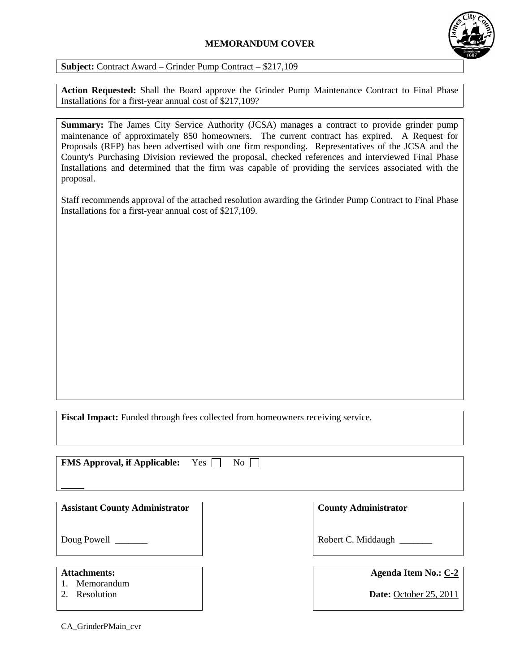# **MEMORANDUM COVER**



**Subject:** Contract Award – Grinder Pump Contract – \$217,109

**Action Requested:** Shall the Board approve the Grinder Pump Maintenance Contract to Final Phase Installations for a first-year annual cost of \$217,109?

**Summary:** The James City Service Authority (JCSA) manages a contract to provide grinder pump maintenance of approximately 850 homeowners. The current contract has expired. A Request for Proposals (RFP) has been advertised with one firm responding. Representatives of the JCSA and the County's Purchasing Division reviewed the proposal, checked references and interviewed Final Phase Installations and determined that the firm was capable of providing the services associated with the proposal.

Staff recommends approval of the attached resolution awarding the Grinder Pump Contract to Final Phase Installations for a first-year annual cost of \$217,109.

**Fiscal Impact:** Funded through fees collected from homeowners receiving service.

| <b>FMS Approval, if Applicable:</b><br>Yes  <br>$\overline{N_{O}}$ |                                                       |
|--------------------------------------------------------------------|-------------------------------------------------------|
| <b>Assistant County Administrator</b>                              | <b>County Administrator</b>                           |
| Doug Powell _______                                                | Robert C. Middaugh                                    |
| <b>Attachments:</b><br>Memorandum<br>Resolution                    | Agenda Item No.: C-2<br><b>Date:</b> October 25, 2011 |

CA\_GrinderPMain\_cvr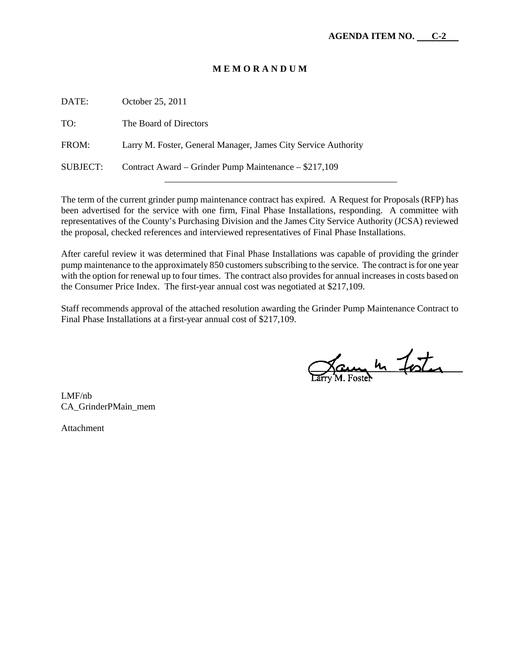## **M E M O R A N D U M**

| DATE:    | October 25, 2011                                               |
|----------|----------------------------------------------------------------|
| TO:      | The Board of Directors                                         |
| FROM:    | Larry M. Foster, General Manager, James City Service Authority |
| SUBJECT: | Contract Award – Grinder Pump Maintenance – \$217,109          |

The term of the current grinder pump maintenance contract has expired. A Request for Proposals (RFP) has been advertised for the service with one firm, Final Phase Installations, responding. A committee with representatives of the County's Purchasing Division and the James City Service Authority (JCSA) reviewed the proposal, checked references and interviewed representatives of Final Phase Installations.

After careful review it was determined that Final Phase Installations was capable of providing the grinder pump maintenance to the approximately 850 customers subscribing to the service. The contract is for one year with the option for renewal up to four times. The contract also provides for annual increases in costs based on the Consumer Price Index. The first-year annual cost was negotiated at \$217,109.

Staff recommends approval of the attached resolution awarding the Grinder Pump Maintenance Contract to Final Phase Installations at a first-year annual cost of \$217,109.

James In Fister

LMF/nb CA\_GrinderPMain\_mem

Attachment